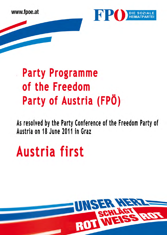www.fpoe.at



# **Party Programme** of the Freedom Party of Austria (FPÖ)

As resolved by the Party Conference of the Freedom Party of Austria on 18 June 2011 in Graz

# Austria first

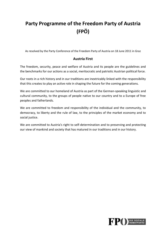# **Party Programme of the Freedom Party of Austria (FPÖ)**

As resolved by the Party Conference of the Freedom Party of Austria on 18 June 2011 in Graz

#### **Austria First**

The freedom, security, peace and welfare of Austria and its people are the guidelines and the benchmarks for our actions as a social, meritocratic and patriotic Austrian political force.

Our roots in a rich history and in our traditions are inextricably linked with the responsibility that this creates to play an active role in shaping the future for the coming generations.

We are committed to our homeland of Austria as part of the German-speaking linguistic and cultural community, to the groups of people native to our country and to a Europe of free peoples and fatherlands.

We are committed to freedom and responsibility of the individual and the community, to democracy, to liberty and the rule of law, to the principles of the market economy and to social justice.

We are committed to Austria's right to self-determination and to preserving and protecting our view of mankind and society that has matured in our traditions and in our history.

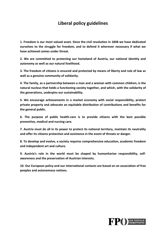#### **Liberal policy guidelines**

**1. Freedom is our most valued asset. Since the civil revolution in 1848 we have dedicated ourselves to the struggle for freedom, and to defend it wherever necessary if what we have achieved comes under threat.** 

**2. We are committed to protecting our homeland of Austria, our national identity and autonomy as well as our natural livelihood.** 

**3. The freedom of citizens is ensured and protected by means of liberty and rule of law as well as a genuine community of solidarity.** 

**4. The family, as a partnership between a man and a woman with common children, is the natural nucleus that holds a functioning society together, and which, with the solidarity of the generations, underpins our sustainability.** 

**5. We encourage achievements in a market economy with social responsibility, protect private property and advocate an equitable distribution of contributions and benefits for the general public.** 

**6. The purpose of public health-care is to provide citizens with the best possible preventive, medical and nursing care.** 

**7. Austria must do all in its power to protect its national territory, maintain its neutrality and offer its citizens protection and assistance in the event of threats or danger.** 

**8. To develop and evolve, a society requires comprehensive education, academic freedom and independent art and culture.** 

**9. Austria's role in the world must be shaped by humanitarian responsibility, selfawareness and the preservation of Austrian interests.** 

**10. Our European policy and our international contacts are based on an association of free peoples and autonomous nations.** 

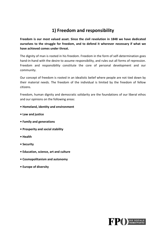#### **1) Freedom and responsibility**

**Freedom is our most valued asset. Since the civil revolution in 1848 we have dedicated ourselves to the struggle for freedom, and to defend it wherever necessary if what we have achieved comes under threat.** 

The dignity of man is rooted in his freedom. Freedom in the form of self-determination goes hand-in-hand with the desire to assume responsibility, and rules out all forms of repression. Freedom and responsibility constitute the core of personal development and our community.

Our concept of freedom is rooted in an idealistic belief where people are not tied down by their material needs. The freedom of the individual is limited by the freedom of fellow citizens.

Freedom, human dignity and democratic solidarity are the foundations of our liberal ethos and our opinions on the following areas:

- **Homeland, identity and environment**
- **Law and justice**
- **Family and generations**
- **Prosperity and social stability**
- **Health**
- **Security**
- **Education, science, art and culture**
- **Cosmopolitanism and autonomy**
- **Europe of diversity**

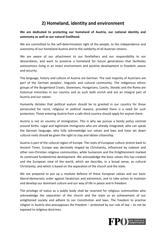#### **2) Homeland, identity and environment**

**We are dedicated to protecting our homeland of Austria, our national identity and autonomy as well as our natural livelihood.** 

We are committed to the self-determination right of the people, to the independence and autonomy of our homeland Austria and to the solidarity of all Austrian citizens.

We are aware of our attachment to our forefathers and our responsibility to our descendants, and want to preserve a homeland for future generations that facilitates autonomous living in an intact environment and positive development in freedom, peace and security.

The language, history and culture of Austria are German. The vast majority of Austrians are part of the German peoples', linguistic and cultural community. The indigenous ethnic groups of the Burgenland Croats, Slovenians, Hungarians, Czechs, Slovaks and the Roma are historical minorities in our country and as such both enrich and are an integral part of Austria and our nation.

Humanity dictates that political asylum should be to granted in our country for those persecuted for racist, religious or political reasons, provided there is a need for such protection. Those entering Austria from a safe third country should apply for asylum there.

Austria is not an country of immigration. This is why we pursue a family policy centred around births. Legal and legitimate immigrants who are already integrated, who can speak the German language, who fully acknowledge our values and laws and have set down cultural roots should be given the right to stay and obtain citizenship.

Austria is part of the cultural region of Europe. The roots of European culture stretch back to Ancient Times. Europe was decisively shaped by Christianity, influenced by Judaism and other non-Christian religious communities, while humanism and the Enlightenment marked its continued fundamental development. We acknowledge the basic values this has created and the European view of the world, which we describe, in a broad sense, as cultural Christianity, and which is based on the separation of the church and the state.

We are prepared to put up a resolute defence of these European values and our basic liberal-democratic order against fanaticism and extremism, and to take action to maintain and develop our dominant culture and our way of life in peace and in freedom.

The privilege of status as a public body shall be reserved for religious communities who acknowledge the separation of the church and the state as an achievement of our enlightened society and adhere to our Constitution and laws. The freedom to practise religion in Austria also presupposes the freedom – protected by our rule of law – to not be exposed to religious doctrines.

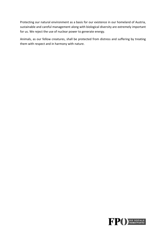Protecting our natural environment as a basis for our existence in our homeland of Austria, sustainable and careful management along with biological diversity are extremely important for us. We reject the use of nuclear power to generate energy.

Animals, as our fellow creatures, shall be protected from distress and suffering by treating them with respect and in harmony with nature.

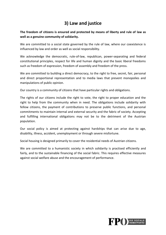# **3) Law and justice**

**The freedom of citizens is ensured and protected by means of liberty and rule of law as well as a genuine community of solidarity.** 

We are committed to a social state governed by the rule of law, where our coexistence is influenced by law and order as well as social responsibility.

We acknowledge the democratic, rule-of-law, republican, power-separating and federal constitutional principles, respect for life and human dignity and the basic liberal freedoms such as freedom of expression, freedom of assembly and freedom of the press.

We are committed to building a direct democracy, to the right to free, secret, fair, personal and direct proportional representation and to media laws that prevent monopolies and manipulations of public opinion.

Our country is a community of citizens that have particular rights and obligations.

The rights of our citizens include the right to vote, the right to proper education and the right to help from the community when in need. The obligations include solidarity with fellow citizens, the payment of contributions to preserve public functions, and personal commitments to maintain internal and external security and the fabric of society. Accepting and fulfilling international obligations may not be to the detriment of the Austrian population.

Our social policy is aimed at protecting against hardships that can arise due to age, disability, illness, accident, unemployment or through severe misfortune.

Social housing is designed primarily to cover the residential needs of Austrian citizens.

We are committed to a humanistic society in which solidarity is practised efficiently and fairly, and to the sustainable financing of the social fabric. This requires effective measures against social welfare abuse and the encouragement of performance.

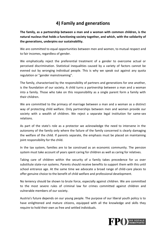#### **4) Family and generations**

**The family, as a partnership between a man and a woman with common children, is the natural nucleus that holds a functioning society together, and which, with the solidarity of the generations, underpins our sustainability.** 

We are committed to equal opportunities between men and women, to mutual respect and to fair incomes, regardless of gender.

We emphatically reject the preferential treatment of a gender to overcome actual or perceived discrimination. Statistical inequalities caused by a variety of factors cannot be evened out by wronging individual people. This is why we speak out against any quota regulation or "gender mainstreaming".

The family, characterised by the responsibility of partners and generations for one another, is the foundation of our society. A child turns a partnership between a man and a woman into a family. Those who take on this responsibility as a single parent form a family with their children.

We are committed to the primacy of marriage between a man and a woman as a distinct way of protecting child welfare. Only partnerships between men and women provide our society with a wealth of children. We reject a separate legal institution for same-sex relations.

As part of the state's role as a protector we acknowledge the need to intervene in the autonomy of the family only where the failure of the family concerned is clearly damaging the welfare of the child. If parents separate, the emphasis must be placed on maintaining joint responsibility for the child.

In the tax system, families are to be construed as an economic community. The pension system must take account of years spent caring for children as well as caring for relatives.

Taking care of children within the security of a family takes precedence for us over substitute state-run systems. Parents should receive benefits to support them with this until school entrance age. At the same time we advocate a broad range of child-care places to offer genuine choice to the benefit of child welfare and professional development.

No leniency should be shown to brute force, especially against children. We are committed to the most severe rules of criminal law for crimes committed against children and vulnerable members of our society.

Austria's future depends on our young people. The purpose of our liberal youth policy is to have enlightened and mature citizens, equipped with all the knowledge and skills they require to hold their own as free and settled individuals.

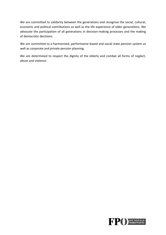We are committed to solidarity between the generations and recognise the social, cultural, economic and political contributions as well as the life experience of older generations. We advocate the participation of all generations in decision-making processes and the making of democratic decisions.

We are committed to a harmonised, performance-based and social state pension system as well as corporate and private pension planning.

We are determined to respect the dignity of the elderly and combat all forms of neglect, abuse and violence.

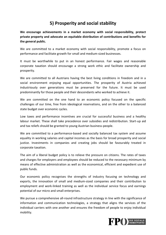#### **5) Prosperity and social stability**

**We encourage achievements in a market economy with social responsibility, protect private property and advocate an equitable distribution of contributions and benefits for the general public.** 

We are committed to a market economy with social responsibility, promote a focus on performance and facilitate growth for small and medium-sized businesses.

It must be worthwhile to put in an honest performance. Fair wages and reasonable corporate taxation should encourage a strong work ethic and facilitate ownership and prosperity.

We are committed to all Austrians having the best living conditions in freedom and in a social environment enjoying equal opportunities. The prosperity of Austria achieved industriously over generations must be preserved for the future. It must be used predominantly for those people and their descendants who worked to achieve it.

We are committed on the one hand to an economic policy focused on the specific challenges of our time, free from ideological reservations, and on the other to a balanced state budget over economic cycles.

Low taxes and performance incentives are crucial for successful business and a healthy labour market. These shall take precedence over subsidies and redistribution. Start-up aid and tax reliefs should be granted to young Austrian business-people.

We are committed to a performance-based and socially balanced tax system and assume equality in working salaries and capital incomes as the basis for broad prosperity and social justice. Investments in companies and creating jobs should be favourably treated in corporate taxation.

The aim of a liberal budget policy is to relieve the pressure on citizens. The rates of taxes and charges for employers and employees should be reduced to the necessary minimum by means of effective administration as well as the economical, efficient and expedient use of public funds.

Our economic policy recognises the strengths of industry focusing on technology and exports, the innovation of small and medium-sized companies and their contribution to employment and work-linked training as well as the individual service focus and earnings potential of our micro and small enterprises.

We pursue a comprehensive all-round infrastructure strategy in line with the significance of information and communication technologies, a strategy that aligns the services of the individual carriers with one another and ensures the freedom of people to enjoy individual mobility.

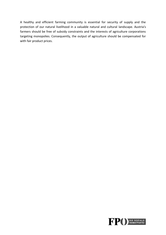A healthy and efficient farming community is essential for security of supply and the protection of our natural livelihood in a valuable natural and cultural landscape. Austria's farmers should be free of subsidy constraints and the interests of agriculture corporations targeting monopolies. Consequently, the output of agriculture should be compensated for with fair product prices.

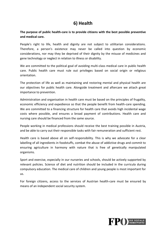#### **6) Health**

#### **The purpose of public health-care is to provide citizens with the best possible preventive and medical care.**

People's right to life, health and dignity are not subject to utilitarian considerations. Therefore, a person's existence may never be called into question by economic considerations, nor may they be deprived of their dignity by the misuse of medicines and gene technology or neglect in relation to illness or disability.

We are committed to the political goal of avoiding multi-class medical care in public health care. Public health care must rule out privileges based on social origin or religious orientation.

The protection of life as well as maintaining and restoring mental and physical health are our objectives for public health care. Alongside treatment and aftercare we attach great importance to prevention.

Administration and organisation in health care must be based on the principles of frugality, economic efficiency and expedience so that the people benefit from health-care spending. We are committed to a financing structure for health care that avoids high incidental wage costs where possible, and ensures a broad payment of contributions. Health care and nursing care should be financed from the same source.

People working in medical professions should receive the best training possible in Austria, and be able to carry out their responsible tasks with fair remuneration and sufficient rest.

Health care is based above all on self-responsibility. This is why we advocate for a clear labelling of all ingredients in foodstuffs, combat the abuse of addictive drugs and commit to ensuring agriculture in harmony with nature that is free of genetically manipulated organisms.

Sport and exercise, especially in our nurseries and schools, should be actively supported by relevant policies. Science of diet and nutrition should be included in the curricula during compulsory education. The medical care of children and young people is most important for us.

For foreign citizens, access to the services of Austrian health-care must be ensured by means of an independent social security system.

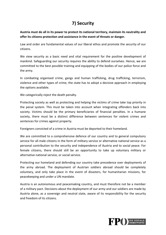# **7) Security**

**Austria must do all in its power to protect its national territory, maintain its neutrality and offer its citizens protection and assistance in the event of threats or danger.** 

Law and order are fundamental values of our liberal ethos and promote the security of our citizens.

We view security as a basic need and vital requirement for the positive development of mankind. Safeguarding our security requires the ability to defend ourselves. Hence, we are committed to the best possible training and equipping of the bodies of our police force and the army.

In combating organised crime, gangs and human trafficking, drug trafficking, terrorism, violence and other types of crime, the state has to adopt a decisive approach in employing the options available.

We categorically reject the death penalty.

Protecting society as well as protecting and helping the victims of crime take top priority in the penal system. This must be taken into account when integrating offenders back into society. Victims should be the primary beneficiaries of financial penalties. In a humane society, there must be a distinct difference between sentences for violent crimes and sentences for crimes against property.

Foreigners convicted of a crime in Austria must be deported to their homeland.

We are committed to a comprehensive defence of our country and to general compulsory service for all male citizens in the form of military service or alternative national service as a personal contribution to the security and independence of Austria and to social peace. For female citizens, there should still be an opportunity to take up voluntary military or alternative national service, or social service.

Protecting our homeland and defending our country take precedence over deployments of the army abroad. The deployment of Austrian soldiers abroad should be completely voluntary, and only take place in the event of disasters, for humanitarian missions, for peacekeeping and under a UN mandate.

Austria is an autonomous and peacemaking country, and must therefore not be a member of a military pact. Decisions about the deployment of our army and our soldiers are made by Austria alone, as a sovereign and neutral state, aware of its responsibility for the security and freedom of its citizens.

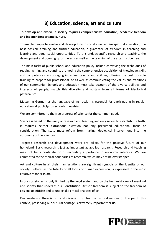#### **8) Education, science, art and culture**

#### **To develop and evolve, a society requires comprehensive education, academic freedom and independent art and culture.**

To enable people to evolve and develop fully in society we require spiritual education, the best possible training and further education, a guarantee of freedom in teaching and learning and equal social opportunities. To this end, scientific research and teaching, the development and opening up of the arts as well as the teaching of the arts must be free.

The main tasks of public school and education policy include conveying the techniques of reading, writing and counting, promoting the comprehensive acquisition of knowledge, skills and competences, encouraging individual talents and abilities, offering the best possible training to prepare for professional life as well as communicating the values and traditions of our community. Schools and education must take account of the diverse abilities and interests of people, match this diversity and abstain from all forms of ideological paternalism.

Mastering German as the language of instruction is essential for participating in regular education at publicly-run schools in Austria.

We are committed to the free progress of science for the common good.

Science is based on the unity of research and teaching and only serves to establish the truth; it requires neither extraneous dictation nor any presumed educational focus or consideration. The state must refrain from making ideological interventions into the autonomy of the sciences.

Targeted research and development work are pillars for the positive future of our homeland. Basic research is just as important as applied research. Research and teaching may not be subordinate or of secondary importance to economic interests. We are committed to the ethical boundaries of research, which may not be overstepped.

Art and culture in all their manifestations are significant symbols of the identity of our society. Culture, as the totality of all forms of human expression, is expressed in the most creative manner in art.

In our society, art is only limited by the legal system and by the humanist view of mankind and society that underlies our Constitution. Artistic freedom is subject to the freedom of citizens to criticise and to undertake critical analyses of art.

Our western culture is rich and diverse. It unites the cultural nations of Europe. In this context, preserving our cultural heritage is extremely important for us.

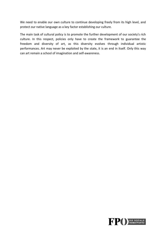We need to enable our own culture to continue developing freely from its high level, and protect our native language as a key factor establishing our culture.

The main task of cultural policy is to promote the further development of our society's rich culture. In this respect, policies only have to create the framework to guarantee the freedom and diversity of art, as this diversity evolves through individual artistic performances. Art may never be exploited by the state, it is an end in itself. Only this way can art remain a school of imagination and self-awareness.

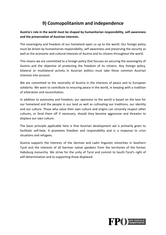## **9) Cosmopolitanism and independence**

**Austria's role in the world must be shaped by humanitarian responsibility, self-awareness and the preservation of Austrian interests.** 

The sovereignty and freedom of our homeland open us up to the world. Our foreign policy must be driven by humanitarian responsibility, self-awareness and preserving the security as well as the economic and cultural interests of Austria and its citizens throughout the world.

This means we are committed to a foreign policy that focuses on securing the sovereignty of Austria and the objective of protecting the freedom of its citizens. Any foreign policy, bilateral or multilateral activity in Austrian politics must take these common Austrian interests into account.

We are committed to the neutrality of Austria in the interests of peace and to European solidarity. We want to contribute to ensuring peace in the world, in keeping with a tradition of arbitration and reconciliation.

In addition to autonomy and freedom, our openness to the world is based on the love for our homeland and the people in our land as well as cultivating our traditions, our identity and our culture. Those who value their own culture and origins can sincerely respect other cultures, or fend them off if necessary, should they become aggressive and threaten to displace our own culture.

The basic principle applicable here is that Austrian development aid is primarily given to facilitate self-help. It promotes freedom and responsibility and is a response to crisis situations and refugees.

Austria supports the interests of the German and Ladin linguistic minorities in Southern Tyrol and the interests of all German native speakers from the territories of the former Habsburg monarchy. We strive for the unity of Tyrol and commit to South-Tyrol's right of self-determination and to supporting those displaced.